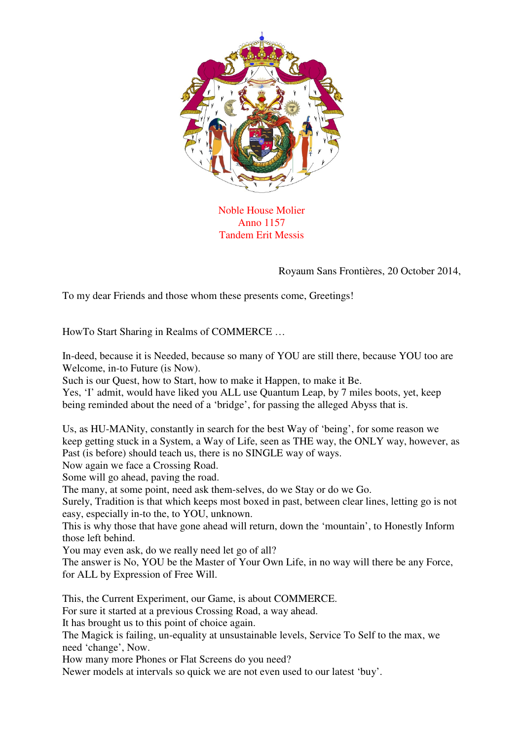

Noble House Molier Anno 1157 Tandem Erit Messis

Royaum Sans Frontières, 20 October 2014,

To my dear Friends and those whom these presents come, Greetings!

HowTo Start Sharing in Realms of COMMERCE …

In-deed, because it is Needed, because so many of YOU are still there, because YOU too are Welcome, in-to Future (is Now).

Such is our Quest, how to Start, how to make it Happen, to make it Be.

Yes, 'I' admit, would have liked you ALL use Quantum Leap, by 7 miles boots, yet, keep being reminded about the need of a 'bridge', for passing the alleged Abyss that is.

Us, as HU-MANity, constantly in search for the best Way of 'being', for some reason we keep getting stuck in a System, a Way of Life, seen as THE way, the ONLY way, however, as Past (is before) should teach us, there is no SINGLE way of ways.

Now again we face a Crossing Road.

Some will go ahead, paving the road.

The many, at some point, need ask them-selves, do we Stay or do we Go.

Surely, Tradition is that which keeps most boxed in past, between clear lines, letting go is not easy, especially in-to the, to YOU, unknown.

This is why those that have gone ahead will return, down the 'mountain', to Honestly Inform those left behind.

You may even ask, do we really need let go of all?

The answer is No, YOU be the Master of Your Own Life, in no way will there be any Force, for ALL by Expression of Free Will.

This, the Current Experiment, our Game, is about COMMERCE.

For sure it started at a previous Crossing Road, a way ahead.

It has brought us to this point of choice again.

The Magick is failing, un-equality at unsustainable levels, Service To Self to the max, we need 'change', Now.

How many more Phones or Flat Screens do you need?

Newer models at intervals so quick we are not even used to our latest 'buy'.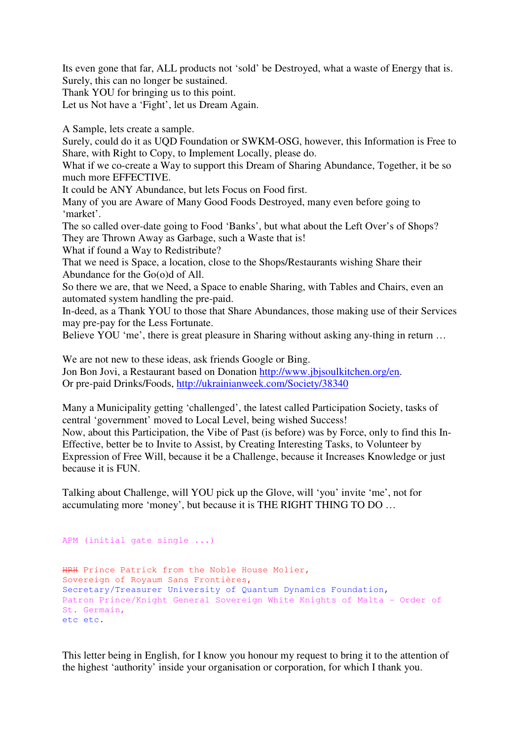Its even gone that far, ALL products not 'sold' be Destroyed, what a waste of Energy that is. Surely, this can no longer be sustained.

Thank YOU for bringing us to this point.

Let us Not have a 'Fight', let us Dream Again.

A Sample, lets create a sample.

Surely, could do it as UQD Foundation or SWKM-OSG, however, this Information is Free to Share, with Right to Copy, to Implement Locally, please do.

What if we co-create a Way to support this Dream of Sharing Abundance, Together, it be so much more EFFECTIVE.

It could be ANY Abundance, but lets Focus on Food first.

Many of you are Aware of Many Good Foods Destroyed, many even before going to 'market'.

The so called over-date going to Food 'Banks', but what about the Left Over's of Shops? They are Thrown Away as Garbage, such a Waste that is!

What if found a Way to Redistribute?

That we need is Space, a location, close to the Shops/Restaurants wishing Share their Abundance for the Go(o)d of All.

So there we are, that we Need, a Space to enable Sharing, with Tables and Chairs, even an automated system handling the pre-paid.

In-deed, as a Thank YOU to those that Share Abundances, those making use of their Services may pre-pay for the Less Fortunate.

Believe YOU 'me', there is great pleasure in Sharing without asking any-thing in return ...

We are not new to these ideas, ask friends Google or Bing. Jon Bon Jovi, a Restaurant based on Donation http://www.jbjsoulkitchen.org/en. Or pre-paid Drinks/Foods, http://ukrainianweek.com/Society/38340

Many a Municipality getting 'challenged', the latest called Participation Society, tasks of central 'government' moved to Local Level, being wished Success! Now, about this Participation, the Vibe of Past (is before) was by Force, only to find this In-Effective, better be to Invite to Assist, by Creating Interesting Tasks, to Volunteer by Expression of Free Will, because it be a Challenge, because it Increases Knowledge or just because it is FUN.

Talking about Challenge, will YOU pick up the Glove, will 'you' invite 'me', not for accumulating more 'money', but because it is THE RIGHT THING TO DO …

```
APM (initial gate single ...) 
HRH Prince Patrick from the Noble House Molier, 
Sovereign of Royaum Sans Frontières, 
Secretary/Treasurer University of Quantum Dynamics Foundation, 
Patron Prince/Knight General Sovereign White Knights of Malta - Order of 
St. Germain, 
etc etc.
```
This letter being in English, for I know you honour my request to bring it to the attention of the highest 'authority' inside your organisation or corporation, for which I thank you.